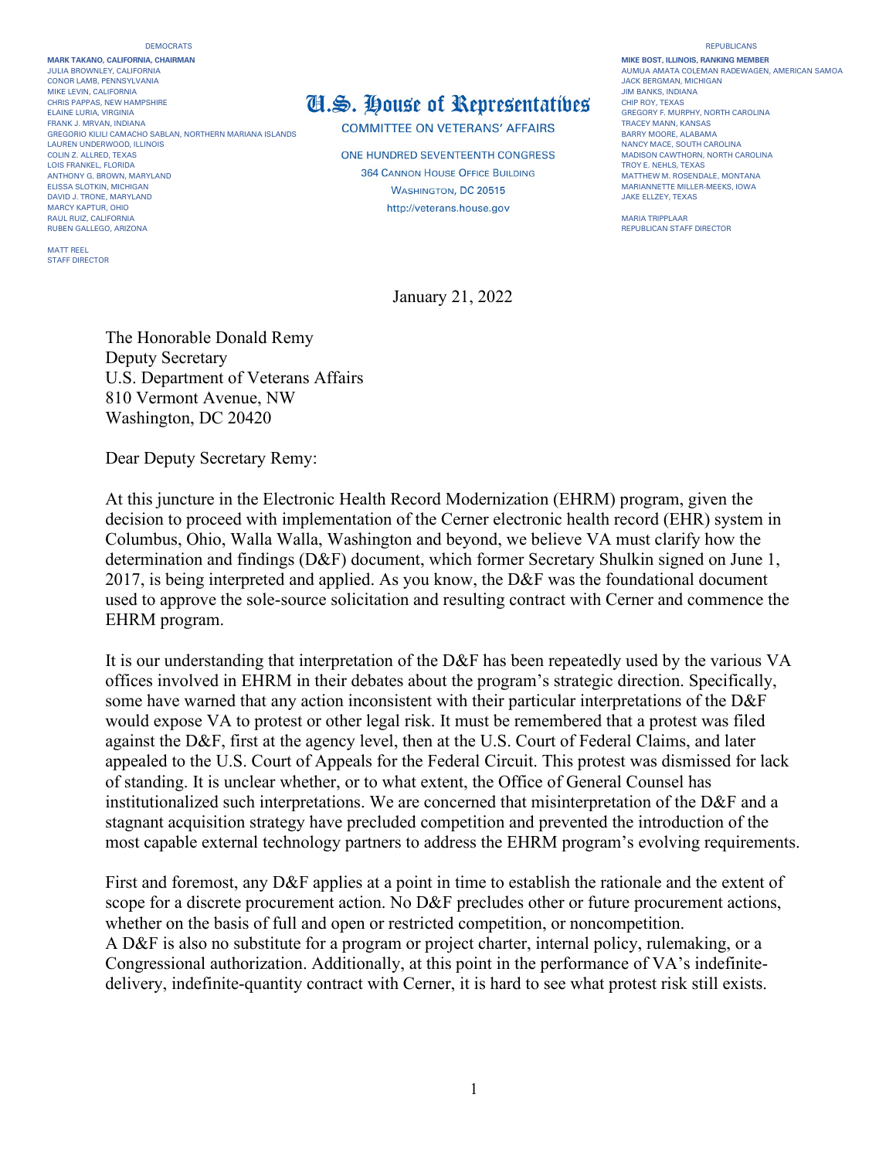## DEMOCRATS REPUBLICANS

**MARK TAKANO, CALIFORNIA, CHAIRMAN MIKE BOST, ILLINOIS, RANKING MEMBER** CONOR LAMB, PENNSYLVANIA<br>MIKE LEVIN. CALIFORNIA JACK BERGMAN, MICHIGAN AND SENSION OF THE SENSION OF THE SENSION OF THE SENSION OF THE S<br>JIM BANKS. INDIANA ELAINE LURIA, VIRGINIA DENENIS DENENIS DENENIS DENENIS DEL **ANTIFICA DEL ANTIFICAL DE LA CONTRA DE LA CONTRA DE LA CONTRA DE LA CONTRA DE LA CONTRA DE LA CONTRA DE LA CONTRA DE LA CONTRA DE LA CONTRA DE LA CONTRA DE LA CON** GREGORIO KILILI CAMACHO SABLAN, NORTHERN MARIANA ISLANDS<br>LAUREN UNDERWOOD, ILLINOIS LAUREN UNDERWOOD, ILLINOIS<br>COLIN Z. ALLRED, TEXAS COLINOIS NANCY MACE, SOUTH CAROLINA<br>COLIN Z. ALLRED, TEXAS COLINA AROLINA LOIS FRANKEL, FLORIDA ANTHONY GREOWN MARYLAND MARYLAND MATTHEW MATTHEW MATTHEW MATTHEW MATTHEW M. ROSENDALE, MONTANA ELISSA SLOTKIN, MICHIGAN ERIS AND THE SERVER SERVER AND THE SERVER ON A SERVER SERVER ON MARIANNETTE MILLER-MEEKS, IOWA<br>THE STATE STATE STATE MARYLAND STATES AND THE STATE STATE OF STATES AND THE STATE STATE STATE STATE ST DAVID J. TRONE, MARYLAND JAKE ELLZEY, TEXAS MARCY KAPTUR, OHIO RAUL RUIZ, CALIFORNIA MARIA TRIPPLAAR RUBEN GALLEGO, ARIZONA REPUBLICAN STAFF DIRECTOR

MATT REEL STAFF DIRECTOR

## MIKE LEVIN, CALIFORNIA<br>CHRIS PAPPAS, NEW HAMPSHIRE **THE CHIP ROY, TEXAS** THE ROY, TEXAS

COMMITTEE ON VETERANS' AFFAIRS<br>BARRY MOORE, ALABAMA

**ONE HUNDRED SEVENTEENTH CONGRESS** MADISON CAWTHORN, NORTH CANNOTED, TEXAS TEXAS

## JULIA BROWNLEY AUGHAN BROWNLEY AUGHAN RADEWAGEN, AMERICAN SAMOA<br>JACK BERGMAN, MICHIGAN

January 21, 2022

The Honorable Donald Remy Deputy Secretary U.S. Department of Veterans Affairs 810 Vermont Avenue, NW Washington, DC 20420

Dear Deputy Secretary Remy:

At this juncture in the Electronic Health Record Modernization (EHRM) program, given the decision to proceed with implementation of the Cerner electronic health record (EHR) system in Columbus, Ohio, Walla Walla, Washington and beyond, we believe VA must clarify how the determination and findings (D&F) document, which former Secretary Shulkin signed on June 1, 2017, is being interpreted and applied. As you know, the D&F was the foundational document used to approve the sole-source solicitation and resulting contract with Cerner and commence the EHRM program.

It is our understanding that interpretation of the D&F has been repeatedly used by the various VA offices involved in EHRM in their debates about the program's strategic direction. Specifically, some have warned that any action inconsistent with their particular interpretations of the D&F would expose VA to protest or other legal risk. It must be remembered that a protest was filed against the D&F, first at the agency level, then at the U.S. Court of Federal Claims, and later appealed to the U.S. Court of Appeals for the Federal Circuit. This protest was dismissed for lack of standing. It is unclear whether, or to what extent, the Office of General Counsel has institutionalized such interpretations. We are concerned that misinterpretation of the D&F and a stagnant acquisition strategy have precluded competition and prevented the introduction of the most capable external technology partners to address the EHRM program's evolving requirements.

First and foremost, any D&F applies at a point in time to establish the rationale and the extent of scope for a discrete procurement action. No D&F precludes other or future procurement actions, whether on the basis of full and open or restricted competition, or noncompetition. A D&F is also no substitute for a program or project charter, internal policy, rulemaking, or a Congressional authorization. Additionally, at this point in the performance of VA's indefinitedelivery, indefinite-quantity contract with Cerner, it is hard to see what protest risk still exists.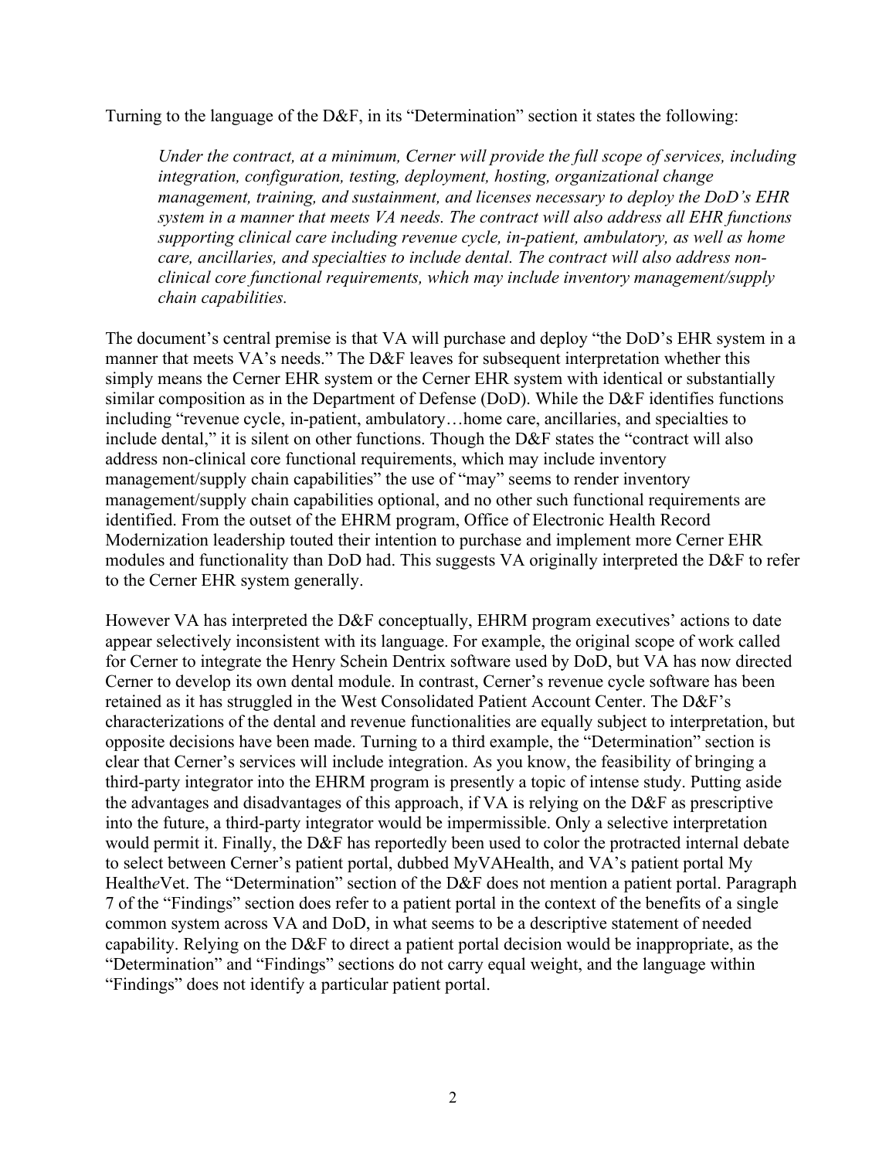Turning to the language of the D&F, in its "Determination" section it states the following:

*Under the contract, at a minimum, Cerner will provide the full scope of services, including integration, configuration, testing, deployment, hosting, organizational change management, training, and sustainment, and licenses necessary to deploy the DoD's EHR system in a manner that meets VA needs. The contract will also address all EHR functions supporting clinical care including revenue cycle, in-patient, ambulatory, as well as home care, ancillaries, and specialties to include dental. The contract will also address nonclinical core functional requirements, which may include inventory management/supply chain capabilities.*

The document's central premise is that VA will purchase and deploy "the DoD's EHR system in a manner that meets VA's needs." The D&F leaves for subsequent interpretation whether this simply means the Cerner EHR system or the Cerner EHR system with identical or substantially similar composition as in the Department of Defense (DoD). While the D&F identifies functions including "revenue cycle, in-patient, ambulatory…home care, ancillaries, and specialties to include dental," it is silent on other functions. Though the D&F states the "contract will also address non-clinical core functional requirements, which may include inventory management/supply chain capabilities" the use of "may" seems to render inventory management/supply chain capabilities optional, and no other such functional requirements are identified. From the outset of the EHRM program, Office of Electronic Health Record Modernization leadership touted their intention to purchase and implement more Cerner EHR modules and functionality than DoD had. This suggests VA originally interpreted the D&F to refer to the Cerner EHR system generally.

However VA has interpreted the D&F conceptually, EHRM program executives' actions to date appear selectively inconsistent with its language. For example, the original scope of work called for Cerner to integrate the Henry Schein Dentrix software used by DoD, but VA has now directed Cerner to develop its own dental module. In contrast, Cerner's revenue cycle software has been retained as it has struggled in the West Consolidated Patient Account Center. The D&F's characterizations of the dental and revenue functionalities are equally subject to interpretation, but opposite decisions have been made. Turning to a third example, the "Determination" section is clear that Cerner's services will include integration. As you know, the feasibility of bringing a third-party integrator into the EHRM program is presently a topic of intense study. Putting aside the advantages and disadvantages of this approach, if VA is relying on the D&F as prescriptive into the future, a third-party integrator would be impermissible. Only a selective interpretation would permit it. Finally, the D&F has reportedly been used to color the protracted internal debate to select between Cerner's patient portal, dubbed MyVAHealth, and VA's patient portal My Health*e*Vet. The "Determination" section of the D&F does not mention a patient portal. Paragraph 7 of the "Findings" section does refer to a patient portal in the context of the benefits of a single common system across VA and DoD, in what seems to be a descriptive statement of needed capability. Relying on the D&F to direct a patient portal decision would be inappropriate, as the "Determination" and "Findings" sections do not carry equal weight, and the language within "Findings" does not identify a particular patient portal.